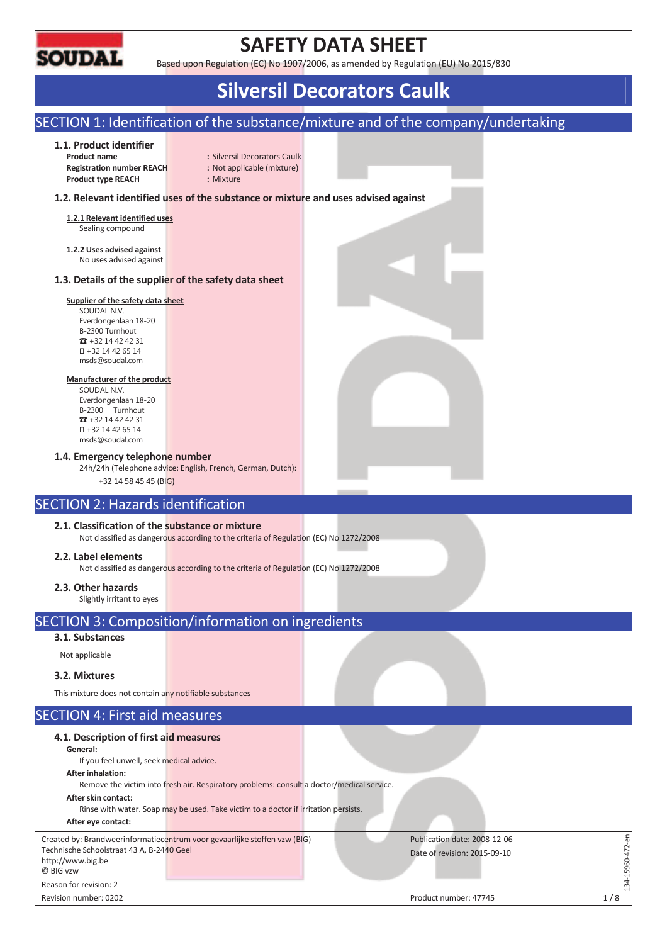

# **SAFETY DATA SHEET**

Based upon Regulation (EC) No 1907/2006, as amended by Regulation (EU) No 2015/830

# **Silversil Decorators Caulk**

# SECTION 1: Identification of the substance/mixture and of the company/undertaking

#### **1.1. Product identifier**

**Registration number REACH :** Not applicable (mixture) **Product type REACH :** Mixture

**Product name : Silversil Decorators Caulk** 

### **1.2. Relevant identified uses of the substance or mixture and uses advised against**

**1.2.1 Relevant identified uses**  Sealing compound

**1.2.2 Uses advised against**  No uses advised against

#### **1.3. Details of the supplier of the safety data sheet**

### **Supplier of the safety data sheet**

SOUDAL N.V. Everdongenlaan 18-20 B-2300 Turnhout  $\overline{3}$  +32 14 42 42 31 +32 14 42 65 14 msds@soudal.com

#### **Manufacturer of the product**

SOUDAL N.V. Everdongenlaan 18-20 B-2300 Turnhout  $\overline{3}$  +32 14 42 42 31 +32 14 42 65 14 msds@soudal.com

#### **1.4. Emergency telephone number**

24h/24h (Telephone advice: English, French, German, Dutch):

+32 14 58 45 45 (BIG)

# SECTION 2: Hazards identification

### **2.1. Classification of the substance or mixture**

Not classified as dangerous according to the criteria of Regulation (EC) No 1272/2008

#### **2.2. Label elements**

Not classified as dangerous according to the criteria of Regulation (EC) No 1272/2008

### **2.3. Other hazards**

Slightly irritant to eyes

# SECTION 3: Composition/information on ingredients

## **3.1. Substances**

Not applicable

### **3.2. Mixtures**

This mixture does not contain any notifiable substances

## SECTION 4: First aid measures

| 4.1. Description of first aid measures<br>General:<br>If you feel unwell, seek medical advice.<br>After inhalation:<br>Remove the victim into fresh air. Respiratory problems: consult a doctor/medical service.<br>After skin contact:<br>Rinse with water. Soap may be used. Take victim to a doctor if irritation persists.<br>After eye contact: |                                                              |
|------------------------------------------------------------------------------------------------------------------------------------------------------------------------------------------------------------------------------------------------------------------------------------------------------------------------------------------------------|--------------------------------------------------------------|
| Created by: Brandweerinformatiecentrum voor gevaarlijke stoffen vzw (BIG)<br>Technische Schoolstraat 43 A, B-2440 Geel<br>http://www.big.be<br>C BIG vzw                                                                                                                                                                                             | Publication date: 2008-12-06<br>Date of revision: 2015-09-10 |
| Reason for revision: 2                                                                                                                                                                                                                                                                                                                               |                                                              |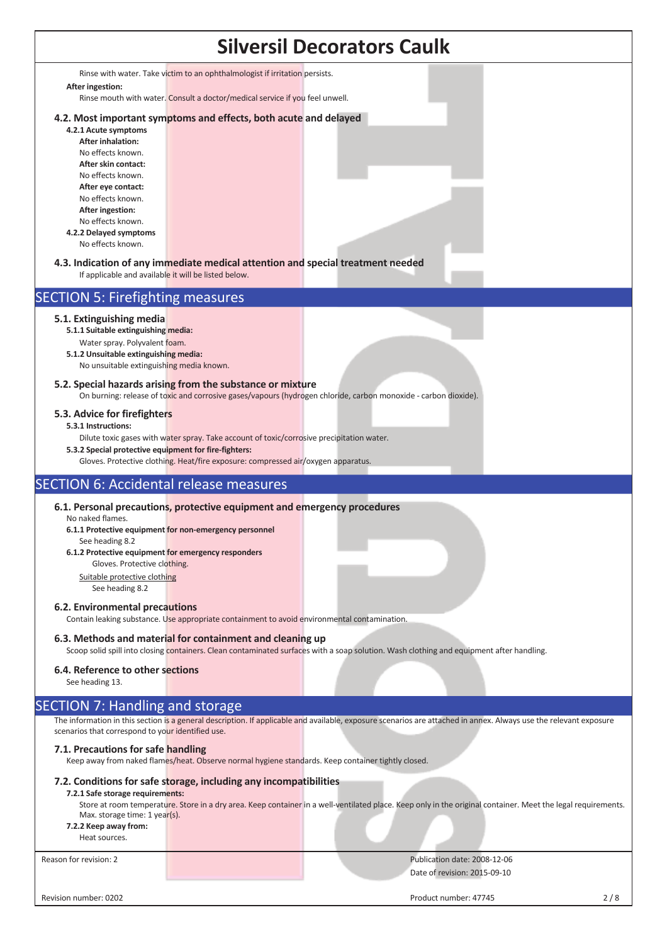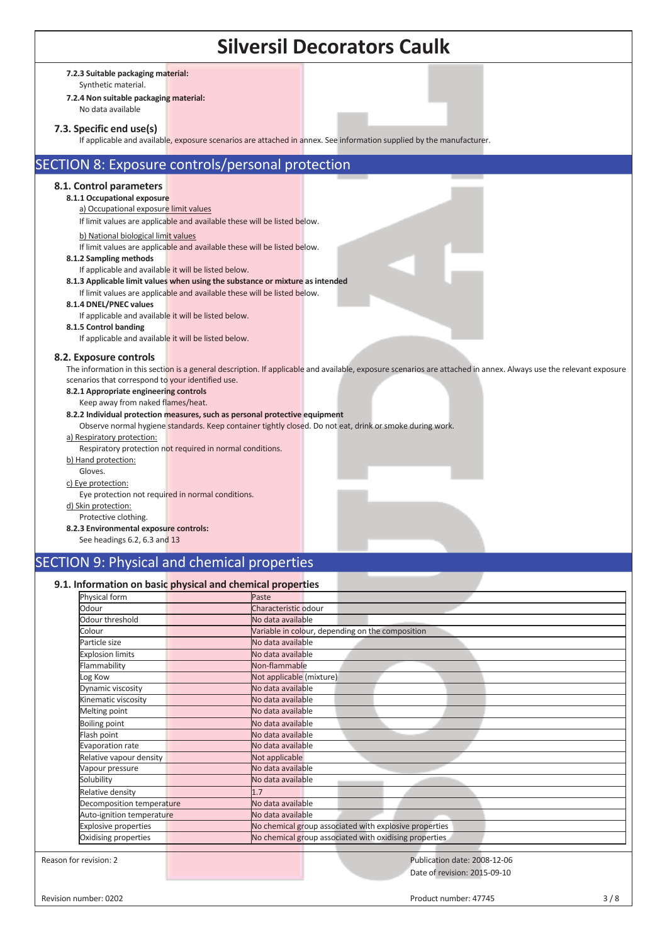|                                                                                                                                                                                                                                                                                                                                                                                                                                                                                                                                                                                                                                                                                                                  | <b>Silversil Decorators Caulk</b>                                                                                                                                 |
|------------------------------------------------------------------------------------------------------------------------------------------------------------------------------------------------------------------------------------------------------------------------------------------------------------------------------------------------------------------------------------------------------------------------------------------------------------------------------------------------------------------------------------------------------------------------------------------------------------------------------------------------------------------------------------------------------------------|-------------------------------------------------------------------------------------------------------------------------------------------------------------------|
| 7.2.3 Suitable packaging material:<br>Synthetic material.<br>7.2.4 Non suitable packaging material:<br>No data available<br>7.3. Specific end use(s)<br>If applicable and available, exposure scenarios are attached in annex. See information supplied by the manufacturer.                                                                                                                                                                                                                                                                                                                                                                                                                                     |                                                                                                                                                                   |
| SECTION 8: Exposure controls/personal protection                                                                                                                                                                                                                                                                                                                                                                                                                                                                                                                                                                                                                                                                 |                                                                                                                                                                   |
| 8.1. Control parameters<br>8.1.1 Occupational exposure<br>a) Occupational exposure limit values<br>If limit values are applicable and available these will be listed below.<br>b) National biological limit values<br>If limit values are applicable and available these will be listed below.<br>8.1.2 Sampling methods<br>If applicable and available it will be listed below.<br>8.1.3 Applicable limit values when using the substance or mixture as intended<br>If limit values are applicable and available these will be listed below.<br>8.1.4 DNEL/PNEC values<br>If applicable and available it will be listed below.<br>8.1.5 Control banding<br>If applicable and available it will be listed below. |                                                                                                                                                                   |
| 8.2. Exposure controls<br>scenarios that correspond to your identified use.<br>8.2.1 Appropriate engineering controls<br>Keep away from naked flames/heat.<br>8.2.2 Individual protection measures, such as personal protective equipment<br>Observe normal hygiene standards. Keep container tightly closed. Do not eat, drink or smoke during work.<br>a) Respiratory protection:<br>Respiratory protection not required in normal conditions.<br>b) Hand protection:<br>Gloves.<br>c) Eye protection:<br>Eye protection not required in normal conditions.                                                                                                                                                    | The information in this section is a general description. If applicable and available, exposure scenarios are attached in annex. Always use the relevant exposure |
| d) Skin protection:<br>Protective clothing.                                                                                                                                                                                                                                                                                                                                                                                                                                                                                                                                                                                                                                                                      |                                                                                                                                                                   |

### **8.2.3 Environmental exposure controls:**

See headings 6.2, 6.3 and 13

# SECTION 9: Physical and chemical properties

# **9.1. Information on basic physical and chemical properties**

| Physical form               | Paste                                                  |
|-----------------------------|--------------------------------------------------------|
| Odour                       | Characteristic odour                                   |
| Odour threshold             | No data available                                      |
| Colour                      | Variable in colour, depending on the composition       |
| Particle size               | No data available                                      |
| <b>Explosion limits</b>     | No data available                                      |
| Flammability                | Non-flammable                                          |
| Log Kow                     | Not applicable (mixture)                               |
| Dynamic viscosity           | No data available                                      |
| Kinematic viscosity         | No data available                                      |
| Melting point               | No data available                                      |
| <b>Boiling point</b>        | No data available                                      |
| Flash point                 | No data available                                      |
| Evaporation rate            | No data available                                      |
| Relative vapour density     | Not applicable                                         |
| Vapour pressure             | No data available                                      |
| Solubility                  | No data available                                      |
| Relative density            | 1.7                                                    |
| Decomposition temperature   | No data available                                      |
| Auto-ignition temperature   | No data available                                      |
| <b>Explosive properties</b> | No chemical group associated with explosive properties |
| Oxidising properties        | No chemical group associated with oxidising properties |
| Reason for revision: 2      | Publication date: 2008-12-06                           |
|                             |                                                        |
|                             | Date of revision: 2015-09-10                           |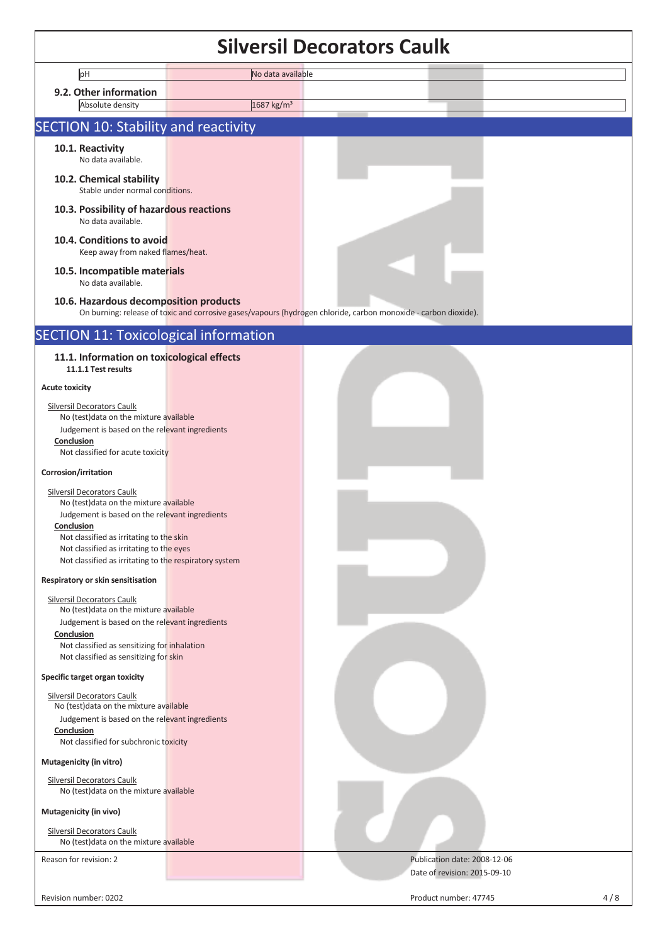|                                                                                                    |                        | <b>Silversil Decorators Caulk</b>                                                                               |     |
|----------------------------------------------------------------------------------------------------|------------------------|-----------------------------------------------------------------------------------------------------------------|-----|
| pH                                                                                                 | No data available      |                                                                                                                 |     |
| 9.2. Other information                                                                             |                        |                                                                                                                 |     |
| Absolute density                                                                                   | 1687 kg/m <sup>3</sup> |                                                                                                                 |     |
| <b>SECTION 10: Stability and reactivity</b>                                                        |                        |                                                                                                                 |     |
| 10.1. Reactivity<br>No data available.                                                             |                        |                                                                                                                 |     |
| 10.2. Chemical stability<br>Stable under normal conditions.                                        |                        |                                                                                                                 |     |
| 10.3. Possibility of hazardous reactions<br>No data available.                                     |                        |                                                                                                                 |     |
| 10.4. Conditions to avoid<br>Keep away from naked flames/heat.                                     |                        |                                                                                                                 |     |
| 10.5. Incompatible materials<br>No data available.                                                 |                        |                                                                                                                 |     |
| 10.6. Hazardous decomposition products                                                             |                        | On burning: release of toxic and corrosive gases/vapours (hydrogen chloride, carbon monoxide - carbon dioxide). |     |
| <b>SECTION 11: Toxicological information</b>                                                       |                        |                                                                                                                 |     |
| 11.1. Information on toxicological effects<br>11.1.1 Test results                                  |                        |                                                                                                                 |     |
| <b>Acute toxicity</b>                                                                              |                        |                                                                                                                 |     |
| Silversil Decorators Caulk                                                                         |                        |                                                                                                                 |     |
| No (test) data on the mixture available<br>Judgement is based on the relevant ingredients          |                        |                                                                                                                 |     |
| Conclusion                                                                                         |                        |                                                                                                                 |     |
| Not classified for acute toxicity                                                                  |                        |                                                                                                                 |     |
| Corrosion/irritation                                                                               |                        |                                                                                                                 |     |
| Silversil Decorators Caulk                                                                         |                        |                                                                                                                 |     |
| No (test) data on the mixture available<br>Judgement is based on the relevant ingredients          |                        |                                                                                                                 |     |
| <b>Conclusion</b>                                                                                  |                        |                                                                                                                 |     |
| Not classified as irritating to the skin                                                           |                        |                                                                                                                 |     |
| Not classified as irritating to the eyes<br>Not classified as irritating to the respiratory system |                        |                                                                                                                 |     |
| Respiratory or skin sensitisation                                                                  |                        |                                                                                                                 |     |
| Silversil Decorators Caulk                                                                         |                        |                                                                                                                 |     |
| No (test)data on the mixture available                                                             |                        |                                                                                                                 |     |
| Judgement is based on the relevant ingredients<br>Conclusion                                       |                        |                                                                                                                 |     |
| Not classified as sensitizing for inhalation                                                       |                        |                                                                                                                 |     |
| Not classified as sensitizing for skin                                                             |                        |                                                                                                                 |     |
| Specific target organ toxicity                                                                     |                        |                                                                                                                 |     |
| <b>Silversil Decorators Caulk</b><br>No (test) data on the mixture available                       |                        |                                                                                                                 |     |
| Judgement is based on the relevant ingredients                                                     |                        |                                                                                                                 |     |
| Conclusion                                                                                         |                        |                                                                                                                 |     |
| Not classified for subchronic toxicity                                                             |                        |                                                                                                                 |     |
| Mutagenicity (in vitro)                                                                            |                        |                                                                                                                 |     |
| Silversil Decorators Caulk<br>No (test) data on the mixture available                              |                        |                                                                                                                 |     |
| Mutagenicity (in vivo)<br><b>Silversil Decorators Caulk</b>                                        |                        |                                                                                                                 |     |
| No (test) data on the mixture available                                                            |                        |                                                                                                                 |     |
| Reason for revision: 2                                                                             |                        | Publication date: 2008-12-06<br>Date of revision: 2015-09-10                                                    |     |
| Revision number: 0202                                                                              |                        | Product number: 47745                                                                                           | 4/8 |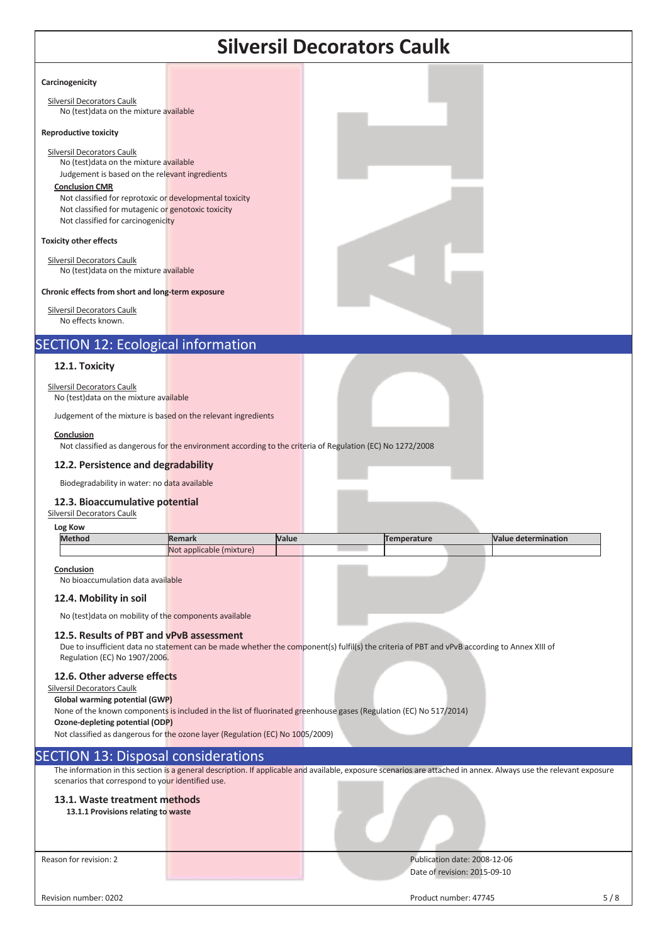|                                                                                                                                                                                                                                                                                                                                        |                          |       | <b>Silversil Decorators Caulk</b>                                                                                                            |                            |
|----------------------------------------------------------------------------------------------------------------------------------------------------------------------------------------------------------------------------------------------------------------------------------------------------------------------------------------|--------------------------|-------|----------------------------------------------------------------------------------------------------------------------------------------------|----------------------------|
| Carcinogenicity                                                                                                                                                                                                                                                                                                                        |                          |       |                                                                                                                                              |                            |
| <b>Silversil Decorators Caulk</b><br>No (test) data on the mixture available                                                                                                                                                                                                                                                           |                          |       |                                                                                                                                              |                            |
| <b>Reproductive toxicity</b>                                                                                                                                                                                                                                                                                                           |                          |       |                                                                                                                                              |                            |
| Silversil Decorators Caulk<br>No (test) data on the mixture available<br>Judgement is based on the relevant ingredients<br><b>Conclusion CMR</b><br>Not classified for reprotoxic or developmental toxicity<br>Not classified for mutagenic or genotoxic toxicity<br>Not classified for carcinogenicity                                |                          |       |                                                                                                                                              |                            |
| <b>Toxicity other effects</b>                                                                                                                                                                                                                                                                                                          |                          |       |                                                                                                                                              |                            |
| <b>Silversil Decorators Caulk</b><br>No (test) data on the mixture available                                                                                                                                                                                                                                                           |                          |       |                                                                                                                                              |                            |
| Chronic effects from short and long-term exposure                                                                                                                                                                                                                                                                                      |                          |       |                                                                                                                                              |                            |
| <b>Silversil Decorators Caulk</b><br>No effects known.                                                                                                                                                                                                                                                                                 |                          |       |                                                                                                                                              |                            |
| <b>SECTION 12: Ecological information</b>                                                                                                                                                                                                                                                                                              |                          |       |                                                                                                                                              |                            |
| 12.1. Toxicity                                                                                                                                                                                                                                                                                                                         |                          |       |                                                                                                                                              |                            |
| Silversil Decorators Caulk<br>No (test) data on the mixture available                                                                                                                                                                                                                                                                  |                          |       |                                                                                                                                              |                            |
| Judgement of the mixture is based on the relevant ingredients                                                                                                                                                                                                                                                                          |                          |       |                                                                                                                                              |                            |
| Conclusion<br>Not classified as dangerous for the environment according to the criteria of Regulation (EC) No 1272/2008                                                                                                                                                                                                                |                          |       |                                                                                                                                              |                            |
| 12.2. Persistence and degradability                                                                                                                                                                                                                                                                                                    |                          |       |                                                                                                                                              |                            |
| Biodegradability in water: no data available                                                                                                                                                                                                                                                                                           |                          |       |                                                                                                                                              |                            |
| 12.3. Bioaccumulative potential<br>Silversil Decorators Caulk                                                                                                                                                                                                                                                                          |                          |       |                                                                                                                                              |                            |
| Log Kow<br><b>Method</b>                                                                                                                                                                                                                                                                                                               | Remark                   | Value | <b>Temperature</b>                                                                                                                           | <b>Value determination</b> |
|                                                                                                                                                                                                                                                                                                                                        | Not applicable (mixture) |       |                                                                                                                                              |                            |
| Conclusion<br>No bioaccumulation data available                                                                                                                                                                                                                                                                                        |                          |       |                                                                                                                                              |                            |
| 12.4. Mobility in soil                                                                                                                                                                                                                                                                                                                 |                          |       |                                                                                                                                              |                            |
| No (test) data on mobility of the components available                                                                                                                                                                                                                                                                                 |                          |       |                                                                                                                                              |                            |
| 12.5. Results of PBT and vPvB assessment<br>Regulation (EC) No 1907/2006.                                                                                                                                                                                                                                                              |                          |       | Due to insufficient data no statement can be made whether the component(s) fulfil(s) the criteria of PBT and vPvB according to Annex XIII of |                            |
| 12.6. Other adverse effects<br>Silversil Decorators Caulk<br>Global warming potential (GWP)<br>None of the known components is included in the list of fluorinated greenhouse gases (Regulation (EC) No 517/2014)<br>Ozone-depleting potential (ODP)<br>Not classified as dangerous for the ozone layer (Regulation (EC) No 1005/2009) |                          |       |                                                                                                                                              |                            |

# SECTION 13: Disposal considerations

The information in this section is a general description. If applicable and available, exposure scenarios are attached in annex. Always use the relevant exposure scenarios that correspond to your identified use.

#### **13.1. Waste treatment methods**

**13.1.1 Provisions relating to waste**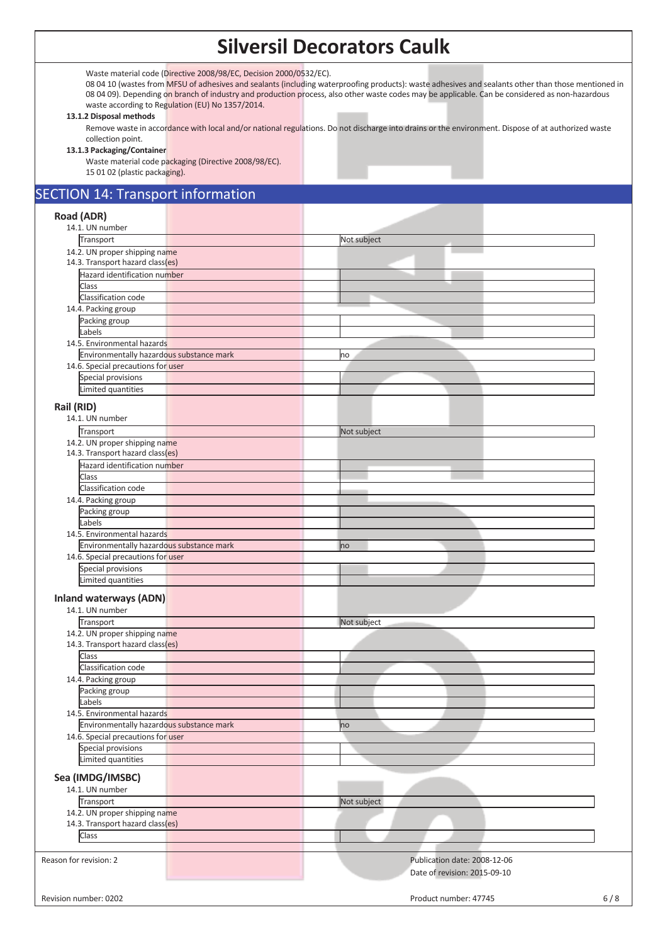# **Silversil Decorators Caulk**

Waste material code (Directive 2008/98/EC, Decision 2000/0532/EC).

08 04 10 (wastes from MFSU of adhesives and sealants (including waterproofing products): waste adhesives and sealants other than those mentioned in 08 04 09). Depending on branch of industry and production process, also other waste codes may be applicable. Can be considered as non-hazardous waste according to Regulation (EU) No 1357/2014.

#### **13.1.2 Disposal methods**

Remove waste in accordance with local and/or national regulations. Do not discharge into drains or the environment. Dispose of at authorized waste collection point.

#### **13.1.3 Packaging/Container**

Waste material code packaging (Directive 2008/98/EC). 15 01 02 (plastic packaging).

# SECTION 14: Transport information

### **Road (ADR)**  14.1. UN number **Transport** Not subject 14.2. UN proper shipping name 14.3. Transport hazard class(es) Hazard identification number Class Classification code 14.4. Packing group Packing group Labels 14.5. Environmental hazards Environmentally hazardous substance mark no matches and the matches of the matches of the matches of the matches 14.6. Special precautions for user Special provisions Limited quantities **Rail (RID)**  14.1. UN number Transport Not subject 14.2. UN proper shipping name 14.3. Transport hazard class(es) Hazard identification number Class Classification code 14.4. Packing group Packing group Labels 14.5. Environmental hazards Environmentally hazardous substance mark no mark no mark no mark 14.6. Special precautions for user Special provisions Limited quantities **Inland waterways (ADN)**  14.1. UN number **Transport** Not subject 14.2. UN proper shipping name 14.3. Transport hazard class(es) **Class** Classification code 14.4. Packing group Packing group Labels 14.5. Environmental hazards Environmentally hazardous substance mark now all the control of the control of the control of the control of the control of the control of the control of the control of the control of the control of the control of the cont 14.6. Special precautions for user Special provisions Limited quantities **Sea (IMDG/IMSBC)**  14.1. UN number Transport Not subject 14.2. UN proper shipping name 14.3. Transport hazard class(es) Class Reason for revision: 2 Publication date: 2008-12-06 Date of revision: 2015-09-10 Revision number: 0202 6 / 8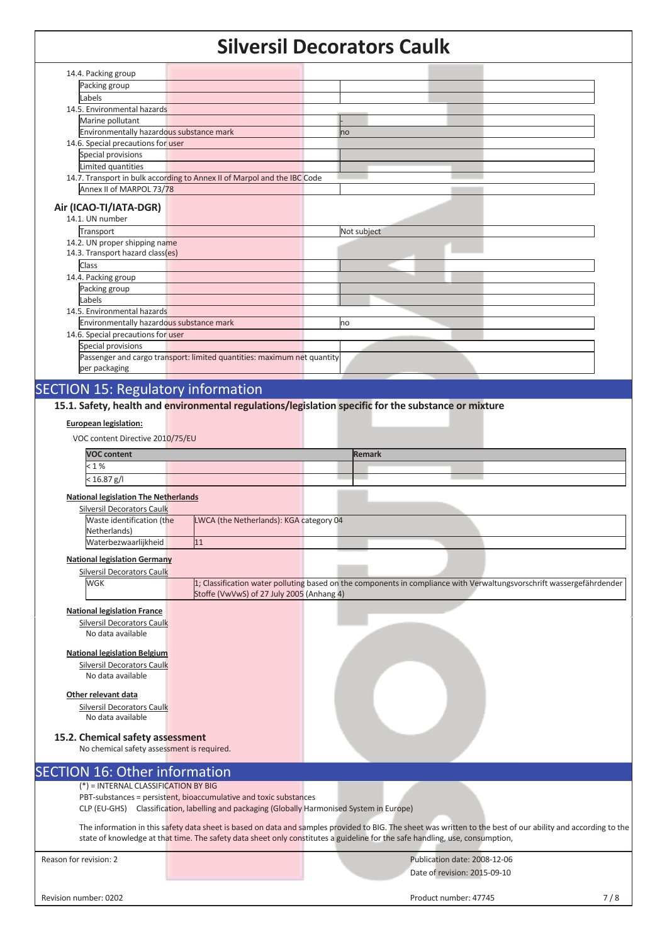# **Silversil Decorators Caulk**

|                                                                          |                                                                                                                                                                  | SIIVEI SII DELUI ALUI S CAUIN                                                                                                |                                                                                                                                                               |
|--------------------------------------------------------------------------|------------------------------------------------------------------------------------------------------------------------------------------------------------------|------------------------------------------------------------------------------------------------------------------------------|---------------------------------------------------------------------------------------------------------------------------------------------------------------|
| 14.4. Packing group                                                      |                                                                                                                                                                  |                                                                                                                              |                                                                                                                                                               |
| Packing group                                                            |                                                                                                                                                                  |                                                                                                                              |                                                                                                                                                               |
| Labels                                                                   |                                                                                                                                                                  |                                                                                                                              |                                                                                                                                                               |
| 14.5. Environmental hazards                                              |                                                                                                                                                                  |                                                                                                                              |                                                                                                                                                               |
| Marine pollutant                                                         |                                                                                                                                                                  |                                                                                                                              |                                                                                                                                                               |
| Environmentally hazardous substance mark                                 |                                                                                                                                                                  | no                                                                                                                           |                                                                                                                                                               |
| 14.6. Special precautions for user                                       |                                                                                                                                                                  |                                                                                                                              |                                                                                                                                                               |
| Special provisions<br>Limited quantities                                 |                                                                                                                                                                  |                                                                                                                              |                                                                                                                                                               |
|                                                                          | 14.7. Transport in bulk according to Annex II of Marpol and the IBC Code                                                                                         |                                                                                                                              |                                                                                                                                                               |
| Annex II of MARPOL 73/78                                                 |                                                                                                                                                                  |                                                                                                                              |                                                                                                                                                               |
|                                                                          |                                                                                                                                                                  |                                                                                                                              |                                                                                                                                                               |
| Air (ICAO-TI/IATA-DGR)<br>14.1. UN number                                |                                                                                                                                                                  |                                                                                                                              |                                                                                                                                                               |
| Transport                                                                |                                                                                                                                                                  | Not subject                                                                                                                  |                                                                                                                                                               |
| 14.2. UN proper shipping name                                            |                                                                                                                                                                  |                                                                                                                              |                                                                                                                                                               |
| 14.3. Transport hazard class(es)                                         |                                                                                                                                                                  |                                                                                                                              |                                                                                                                                                               |
| Class                                                                    |                                                                                                                                                                  |                                                                                                                              |                                                                                                                                                               |
| 14.4. Packing group                                                      |                                                                                                                                                                  |                                                                                                                              |                                                                                                                                                               |
| Packing group                                                            |                                                                                                                                                                  |                                                                                                                              |                                                                                                                                                               |
| Labels                                                                   |                                                                                                                                                                  |                                                                                                                              |                                                                                                                                                               |
| 14.5. Environmental hazards<br>Environmentally hazardous substance mark  |                                                                                                                                                                  | no                                                                                                                           |                                                                                                                                                               |
| 14.6. Special precautions for user                                       |                                                                                                                                                                  |                                                                                                                              |                                                                                                                                                               |
| Special provisions                                                       |                                                                                                                                                                  |                                                                                                                              |                                                                                                                                                               |
|                                                                          | Passenger and cargo transport: limited quantities: maximum net quantity                                                                                          |                                                                                                                              |                                                                                                                                                               |
| per packaging                                                            |                                                                                                                                                                  |                                                                                                                              |                                                                                                                                                               |
|                                                                          |                                                                                                                                                                  |                                                                                                                              |                                                                                                                                                               |
| <b>SECTION 15: Regulatory information</b>                                |                                                                                                                                                                  |                                                                                                                              |                                                                                                                                                               |
|                                                                          |                                                                                                                                                                  | 15.1. Safety, health and environmental regulations/legislation specific for the substance or mixture                         |                                                                                                                                                               |
| <b>European legislation:</b>                                             |                                                                                                                                                                  |                                                                                                                              |                                                                                                                                                               |
| VOC content Directive 2010/75/EU                                         |                                                                                                                                                                  |                                                                                                                              |                                                                                                                                                               |
| <b>VOC content</b>                                                       |                                                                                                                                                                  | <b>Remark</b>                                                                                                                |                                                                                                                                                               |
| < 1%                                                                     |                                                                                                                                                                  |                                                                                                                              |                                                                                                                                                               |
|                                                                          |                                                                                                                                                                  |                                                                                                                              |                                                                                                                                                               |
|                                                                          |                                                                                                                                                                  |                                                                                                                              |                                                                                                                                                               |
| $< 16.87$ g/l                                                            |                                                                                                                                                                  |                                                                                                                              |                                                                                                                                                               |
| <b>National legislation The Netherlands</b>                              |                                                                                                                                                                  |                                                                                                                              |                                                                                                                                                               |
| Silversil Decorators Caulk                                               |                                                                                                                                                                  |                                                                                                                              |                                                                                                                                                               |
| Waste identification (the<br>Netherlands)                                | LWCA (the Netherlands): KGA category 04                                                                                                                          |                                                                                                                              |                                                                                                                                                               |
| Waterbezwaarlijkheid                                                     | 11                                                                                                                                                               |                                                                                                                              |                                                                                                                                                               |
|                                                                          |                                                                                                                                                                  |                                                                                                                              |                                                                                                                                                               |
| <b>National legislation Germany</b><br><b>Silversil Decorators Caulk</b> |                                                                                                                                                                  |                                                                                                                              |                                                                                                                                                               |
| WGK                                                                      |                                                                                                                                                                  |                                                                                                                              | 1; Classification water polluting based on the components in compliance with Verwaltungsvorschrift wassergefährdender                                         |
|                                                                          | Stoffe (VwVwS) of 27 July 2005 (Anhang 4)                                                                                                                        |                                                                                                                              |                                                                                                                                                               |
| <b>National legislation France</b>                                       |                                                                                                                                                                  |                                                                                                                              |                                                                                                                                                               |
| <b>Silversil Decorators Caulk</b>                                        |                                                                                                                                                                  |                                                                                                                              |                                                                                                                                                               |
| No data available                                                        |                                                                                                                                                                  |                                                                                                                              |                                                                                                                                                               |
|                                                                          |                                                                                                                                                                  |                                                                                                                              |                                                                                                                                                               |
| <b>National legislation Belgium</b>                                      |                                                                                                                                                                  |                                                                                                                              |                                                                                                                                                               |
| Silversil Decorators Caulk<br>No data available                          |                                                                                                                                                                  |                                                                                                                              |                                                                                                                                                               |
|                                                                          |                                                                                                                                                                  |                                                                                                                              |                                                                                                                                                               |
| Other relevant data                                                      |                                                                                                                                                                  |                                                                                                                              |                                                                                                                                                               |
| Silversil Decorators Caulk<br>No data available                          |                                                                                                                                                                  |                                                                                                                              |                                                                                                                                                               |
|                                                                          |                                                                                                                                                                  |                                                                                                                              |                                                                                                                                                               |
| 15.2. Chemical safety assessment                                         |                                                                                                                                                                  |                                                                                                                              |                                                                                                                                                               |
| No chemical safety assessment is required.                               |                                                                                                                                                                  |                                                                                                                              |                                                                                                                                                               |
|                                                                          |                                                                                                                                                                  |                                                                                                                              |                                                                                                                                                               |
| <b>SECTION 16: Other information</b>                                     |                                                                                                                                                                  |                                                                                                                              |                                                                                                                                                               |
| $(*)$ = INTERNAL CLASSIFICATION BY BIG                                   |                                                                                                                                                                  |                                                                                                                              |                                                                                                                                                               |
|                                                                          | PBT-substances = persistent, bioaccumulative and toxic substances<br>CLP (EU-GHS) Classification, labelling and packaging (Globally Harmonised System in Europe) |                                                                                                                              |                                                                                                                                                               |
|                                                                          |                                                                                                                                                                  |                                                                                                                              |                                                                                                                                                               |
|                                                                          |                                                                                                                                                                  |                                                                                                                              | The information in this safety data sheet is based on data and samples provided to BIG. The sheet was written to the best of our ability and according to the |
|                                                                          |                                                                                                                                                                  | state of knowledge at that time. The safety data sheet only constitutes a guideline for the safe handling, use, consumption, |                                                                                                                                                               |
| Reason for revision: 2                                                   |                                                                                                                                                                  |                                                                                                                              | Publication date: 2008-12-06                                                                                                                                  |
|                                                                          |                                                                                                                                                                  |                                                                                                                              | Date of revision: 2015-09-10                                                                                                                                  |

Revision number: 0202 7/8